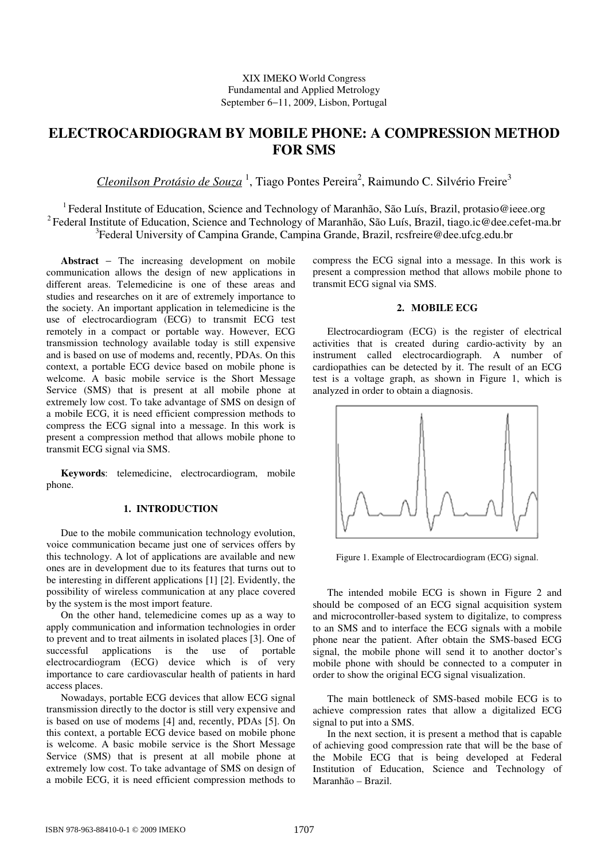# **ELECTROCARDIOGRAM BY MOBILE PHONE: A COMPRESSION METHOD FOR SMS**

Cleonilson Protásio de Souza<sup>1</sup>, Tiago Pontes Pereira<sup>2</sup>, Raimundo C. Silvério Freire<sup>3</sup>

<sup>1</sup> Federal Institute of Education, Science and Technology of Maranhão, São Luís, Brazil, protasio@ieee.org <sup>2</sup> Federal Institute of Education, Science and Technology of Maranhão, São Luís, Brazil, tiago.ic@dee.cefet-ma.br <sup>3</sup>Federal University of Campina Grande, Campina Grande, Brazil, rcsfreire@dee.ufcg.edu.br

**Abstract** − The increasing development on mobile communication allows the design of new applications in different areas. Telemedicine is one of these areas and studies and researches on it are of extremely importance to the society. An important application in telemedicine is the use of electrocardiogram (ECG) to transmit ECG test remotely in a compact or portable way. However, ECG transmission technology available today is still expensive and is based on use of modems and, recently, PDAs. On this context, a portable ECG device based on mobile phone is welcome. A basic mobile service is the Short Message Service (SMS) that is present at all mobile phone at extremely low cost. To take advantage of SMS on design of a mobile ECG, it is need efficient compression methods to compress the ECG signal into a message. In this work is present a compression method that allows mobile phone to transmit ECG signal via SMS.

**Keywords**: telemedicine, electrocardiogram, mobile phone.

## **1. INTRODUCTION**

Due to the mobile communication technology evolution, voice communication became just one of services offers by this technology. A lot of applications are available and new ones are in development due to its features that turns out to be interesting in different applications [1] [2]. Evidently, the possibility of wireless communication at any place covered by the system is the most import feature.

On the other hand, telemedicine comes up as a way to apply communication and information technologies in order to prevent and to treat ailments in isolated places [3]. One of successful applications is the use of portable electrocardiogram (ECG) device which is of very importance to care cardiovascular health of patients in hard access places.

Nowadays, portable ECG devices that allow ECG signal transmission directly to the doctor is still very expensive and is based on use of modems [4] and, recently, PDAs [5]. On this context, a portable ECG device based on mobile phone is welcome. A basic mobile service is the Short Message Service (SMS) that is present at all mobile phone at extremely low cost. To take advantage of SMS on design of a mobile ECG, it is need efficient compression methods to

compress the ECG signal into a message. In this work is present a compression method that allows mobile phone to transmit ECG signal via SMS.

## **2. MOBILE ECG**

Electrocardiogram (ECG) is the register of electrical activities that is created during cardio-activity by an instrument called electrocardiograph. A number of cardiopathies can be detected by it. The result of an ECG test is a voltage graph, as shown in Figure 1, which is analyzed in order to obtain a diagnosis.



Figure 1. Example of Electrocardiogram (ECG) signal.

The intended mobile ECG is shown in Figure 2 and should be composed of an ECG signal acquisition system and microcontroller-based system to digitalize, to compress to an SMS and to interface the ECG signals with a mobile phone near the patient. After obtain the SMS-based ECG signal, the mobile phone will send it to another doctor's mobile phone with should be connected to a computer in order to show the original ECG signal visualization.

The main bottleneck of SMS-based mobile ECG is to achieve compression rates that allow a digitalized ECG signal to put into a SMS.

In the next section, it is present a method that is capable of achieving good compression rate that will be the base of the Mobile ECG that is being developed at Federal Institution of Education, Science and Technology of Maranhão – Brazil.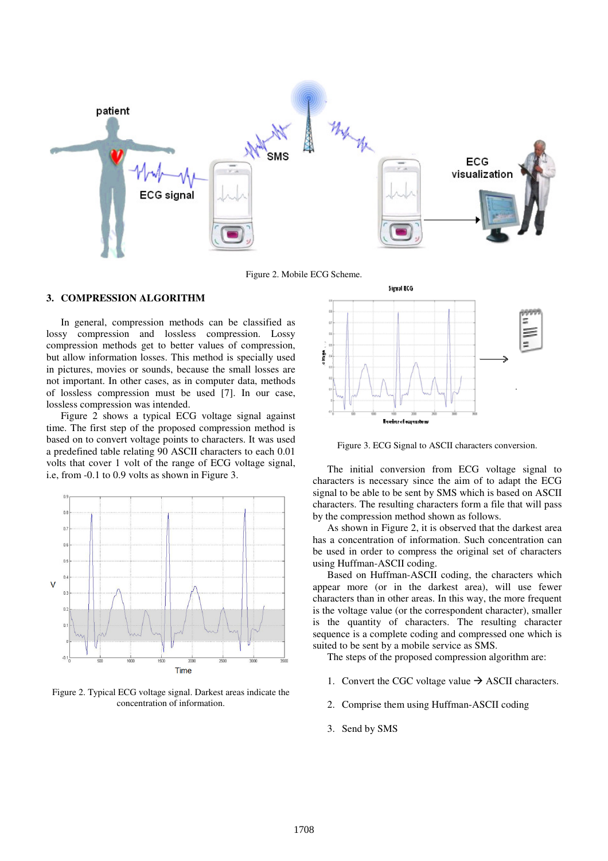

Figure 2. Mobile ECG Scheme.

## **3. COMPRESSION ALGORITHM**

In general, compression methods can be classified as lossy compression and lossless compression. Lossy compression methods get to better values of compression, but allow information losses. This method is specially used in pictures, movies or sounds, because the small losses are not important. In other cases, as in computer data, methods of lossless compression must be used [7]. In our case, lossless compression was intended.

Figure 2 shows a typical ECG voltage signal against time. The first step of the proposed compression method is based on to convert voltage points to characters. It was used a predefined table relating 90 ASCII characters to each 0.01 volts that cover 1 volt of the range of ECG voltage signal, i.e, from -0.1 to 0.9 volts as shown in Figure 3.



Figure 2. Typical ECG voltage signal. Darkest areas indicate the concentration of information.



Figure 3. ECG Signal to ASCII characters conversion.

The initial conversion from ECG voltage signal to characters is necessary since the aim of to adapt the ECG signal to be able to be sent by SMS which is based on ASCII characters. The resulting characters form a file that will pass by the compression method shown as follows.

As shown in Figure 2, it is observed that the darkest area has a concentration of information. Such concentration can be used in order to compress the original set of characters using Huffman-ASCII coding.

Based on Huffman-ASCII coding, the characters which appear more (or in the darkest area), will use fewer characters than in other areas. In this way, the more frequent is the voltage value (or the correspondent character), smaller is the quantity of characters. The resulting character sequence is a complete coding and compressed one which is suited to be sent by a mobile service as SMS.

The steps of the proposed compression algorithm are:

- 1. Convert the CGC voltage value  $\rightarrow$  ASCII characters.
- 2. Comprise them using Huffman-ASCII coding
- 3. Send by SMS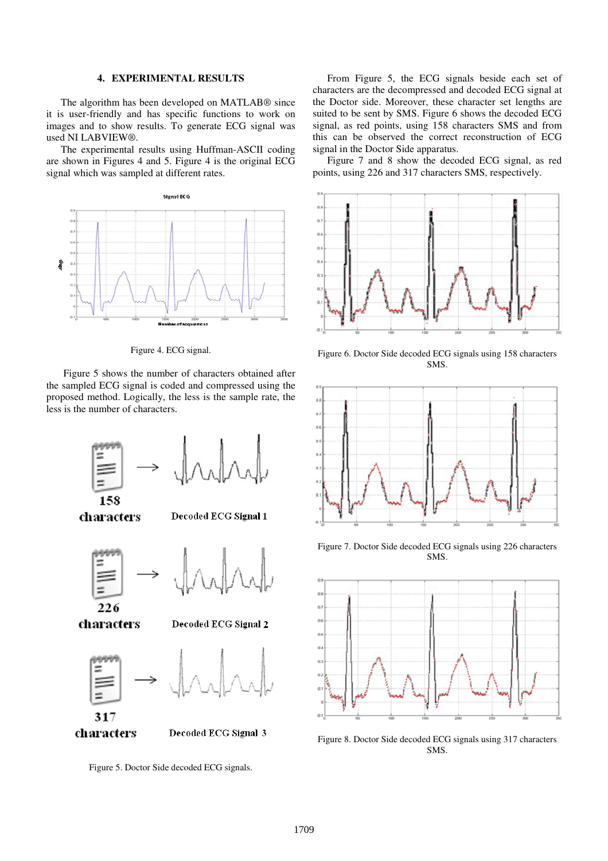#### **4. EXPERIMENTAL RESULTS**

The algorithm has been developed on MATLAB® since it is user-friendly and has specific functions to work on images and to show results. To generate ECG signal was used NI LABVIEW®.

The experimental results using Huffman-ASCII coding are shown in Figures 4 and 5. Figure 4 is the original ECG signal which was sampled at different rates.



Figure 4. ECG signal.

 Figure 5 shows the number of characters obtained after the sampled ECG signal is coded and compressed using the proposed method. Logically, the less is the sample rate, the less is the number of characters.



characters

Decoded ECG Signal 1





characters

Decoded ECG Signal 2





Decoded ECG Signal 3

Figure 5. Doctor Side decoded ECG signals.

From Figure 5, the ECG signals beside each set of characters are the decompressed and decoded ECG signal at the Doctor side. Moreover, these character set lengths are suited to be sent by SMS. Figure 6 shows the decoded ECG signal, as red points, using 158 characters SMS and from this can be observed the correct reconstruction of ECG signal in the Doctor Side apparatus.

Figure 7 and 8 show the decoded ECG signal, as red points, using 226 and 317 characters SMS, respectively.



Figure 6. Doctor Side decoded ECG signals using 158 characters SMS.



Figure 7. Doctor Side decoded ECG signals using 226 characters SMS.



Figure 8. Doctor Side decoded ECG signals using 317 characters SMS.